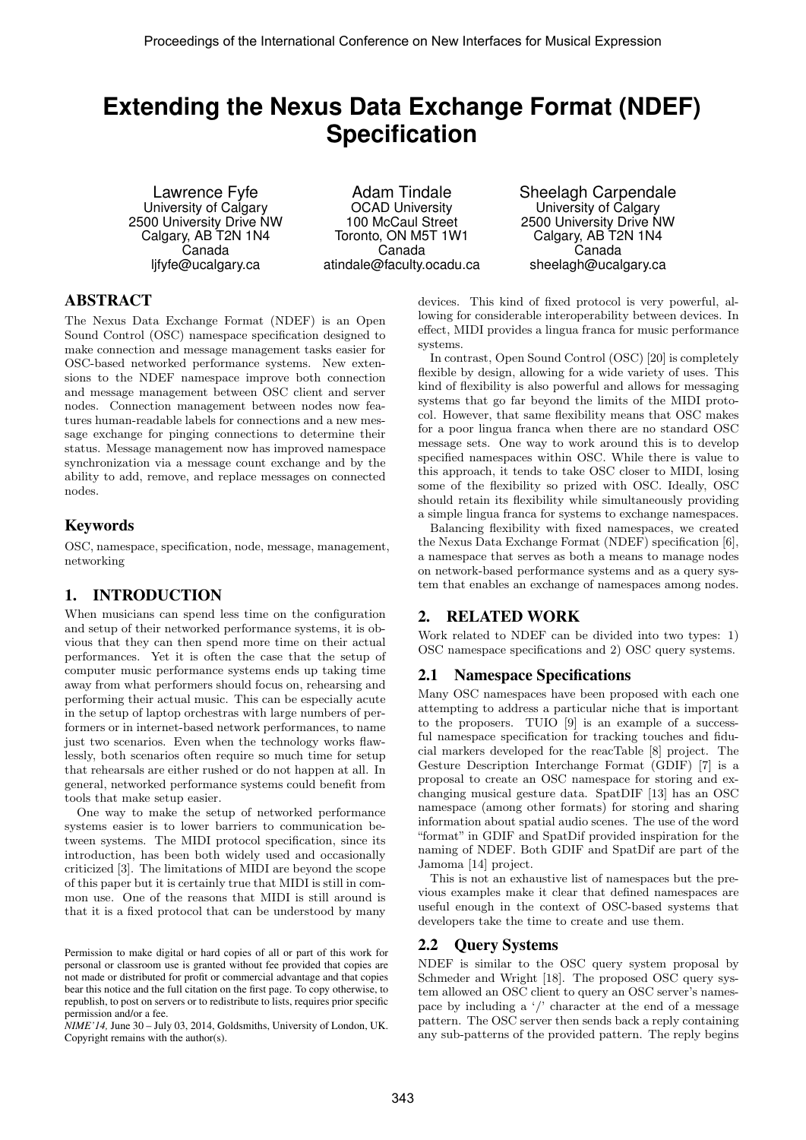# **Extending the Nexus Data Exchange Format (NDEF) Specification**

Lawrence Fyfe University of Calgary 2500 University Drive NW Calgary, AB T2N 1N4 Canada ljfyfe@ucalgary.ca

Adam Tindale OCAD University 100 McCaul Street Toronto, ON M5T 1W1 Canada atindale@faculty.ocadu.ca Sheelagh Carpendale University of Calgary 2500 University Drive NW Calgary, AB T2N 1N4 Canada sheelagh@ucalgary.ca

### ABSTRACT

The Nexus Data Exchange Format (NDEF) is an Open Sound Control (OSC) namespace specification designed to make connection and message management tasks easier for OSC-based networked performance systems. New extensions to the NDEF namespace improve both connection and message management between OSC client and server nodes. Connection management between nodes now features human-readable labels for connections and a new message exchange for pinging connections to determine their status. Message management now has improved namespace synchronization via a message count exchange and by the ability to add, remove, and replace messages on connected nodes.

### Keywords

OSC, namespace, specification, node, message, management, networking

### 1. INTRODUCTION

When musicians can spend less time on the configuration and setup of their networked performance systems, it is obvious that they can then spend more time on their actual performances. Yet it is often the case that the setup of computer music performance systems ends up taking time away from what performers should focus on, rehearsing and performing their actual music. This can be especially acute in the setup of laptop orchestras with large numbers of performers or in internet-based network performances, to name just two scenarios. Even when the technology works flawlessly, both scenarios often require so much time for setup that rehearsals are either rushed or do not happen at all. In general, networked performance systems could benefit from tools that make setup easier.

One way to make the setup of networked performance systems easier is to lower barriers to communication between systems. The MIDI protocol specification, since its introduction, has been both widely used and occasionally criticized [3]. The limitations of MIDI are beyond the scope of this paper but it is certainly true that MIDI is still in common use. One of the reasons that MIDI is still around is that it is a fixed protocol that can be understood by many

*NIME'14,* June 30 – July 03, 2014, Goldsmiths, University of London, UK. Copyright remains with the author(s).

devices. This kind of fixed protocol is very powerful, allowing for considerable interoperability between devices. In effect, MIDI provides a lingua franca for music performance systems.

In contrast, Open Sound Control (OSC) [20] is completely flexible by design, allowing for a wide variety of uses. This kind of flexibility is also powerful and allows for messaging systems that go far beyond the limits of the MIDI protocol. However, that same flexibility means that OSC makes for a poor lingua franca when there are no standard OSC message sets. One way to work around this is to develop specified namespaces within OSC. While there is value to this approach, it tends to take OSC closer to MIDI, losing some of the flexibility so prized with OSC. Ideally, OSC should retain its flexibility while simultaneously providing a simple lingua franca for systems to exchange namespaces.

Balancing flexibility with fixed namespaces, we created the Nexus Data Exchange Format (NDEF) specification [6], a namespace that serves as both a means to manage nodes on network-based performance systems and as a query system that enables an exchange of namespaces among nodes.

# 2. RELATED WORK

Work related to NDEF can be divided into two types: 1) OSC namespace specifications and 2) OSC query systems.

### 2.1 Namespace Specifications

Many OSC namespaces have been proposed with each one attempting to address a particular niche that is important to the proposers. TUIO [9] is an example of a successful namespace specification for tracking touches and fiducial markers developed for the reacTable [8] project. The Gesture Description Interchange Format (GDIF) [7] is a proposal to create an OSC namespace for storing and exchanging musical gesture data. SpatDIF [13] has an OSC namespace (among other formats) for storing and sharing information about spatial audio scenes. The use of the word "format" in GDIF and SpatDif provided inspiration for the naming of NDEF. Both GDIF and SpatDif are part of the Jamoma [14] project.

This is not an exhaustive list of namespaces but the previous examples make it clear that defined namespaces are useful enough in the context of OSC-based systems that developers take the time to create and use them.

### 2.2 Query Systems

NDEF is similar to the OSC query system proposal by Schmeder and Wright [18]. The proposed OSC query system allowed an OSC client to query an OSC server's namespace by including a  $\prime$  character at the end of a message pattern. The OSC server then sends back a reply containing any sub-patterns of the provided pattern. The reply begins

Permission to make digital or hard copies of all or part of this work for personal or classroom use is granted without fee provided that copies are not made or distributed for profit or commercial advantage and that copies bear this notice and the full citation on the first page. To copy otherwise, to republish, to post on servers or to redistribute to lists, requires prior specific permission and/or a fee.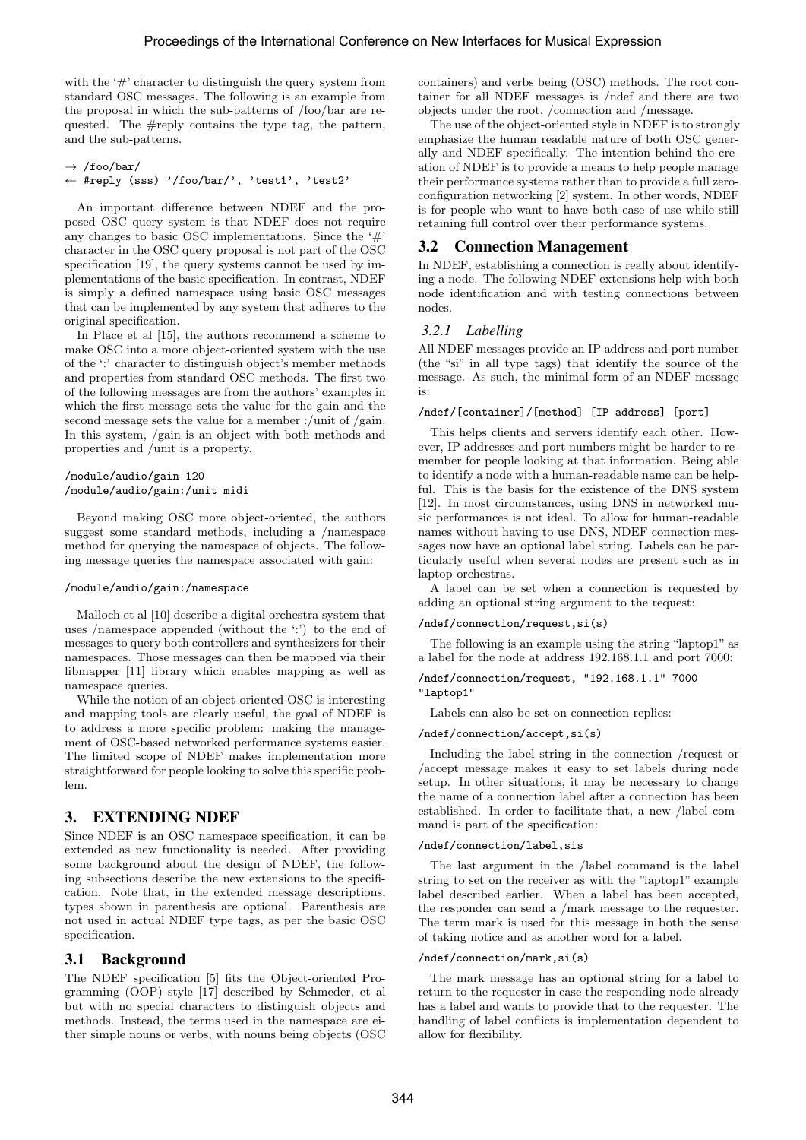with the '#' character to distinguish the query system from standard OSC messages. The following is an example from the proposal in which the sub-patterns of /foo/bar are requested. The #reply contains the type tag, the pattern, and the sub-patterns.

```
\rightarrow /foo/bar/
← #reply (sss) '/foo/bar/', 'test1', 'test2'
```
An important difference between NDEF and the proposed OSC query system is that NDEF does not require any changes to basic OSC implementations. Since the  $\#$ character in the OSC query proposal is not part of the OSC specification [19], the query systems cannot be used by implementations of the basic specification. In contrast, NDEF is simply a defined namespace using basic OSC messages that can be implemented by any system that adheres to the original specification.

In Place et al [15], the authors recommend a scheme to make OSC into a more object-oriented system with the use of the ':' character to distinguish object's member methods and properties from standard OSC methods. The first two of the following messages are from the authors' examples in which the first message sets the value for the gain and the second message sets the value for a member :/unit of /gain. In this system, /gain is an object with both methods and properties and /unit is a property.

#### /module/audio/gain 120 /module/audio/gain:/unit midi

Beyond making OSC more object-oriented, the authors suggest some standard methods, including a /namespace method for querying the namespace of objects. The following message queries the namespace associated with gain:

#### /module/audio/gain:/namespace

Malloch et al [10] describe a digital orchestra system that uses /namespace appended (without the ':') to the end of messages to query both controllers and synthesizers for their namespaces. Those messages can then be mapped via their libmapper [11] library which enables mapping as well as namespace queries.

While the notion of an object-oriented OSC is interesting and mapping tools are clearly useful, the goal of NDEF is to address a more specific problem: making the management of OSC-based networked performance systems easier. The limited scope of NDEF makes implementation more straightforward for people looking to solve this specific problem.

### 3. EXTENDING NDEF

Since NDEF is an OSC namespace specification, it can be extended as new functionality is needed. After providing some background about the design of NDEF, the following subsections describe the new extensions to the specification. Note that, in the extended message descriptions, types shown in parenthesis are optional. Parenthesis are not used in actual NDEF type tags, as per the basic OSC specification.

### 3.1 Background

The NDEF specification [5] fits the Object-oriented Programming (OOP) style [17] described by Schmeder, et al but with no special characters to distinguish objects and methods. Instead, the terms used in the namespace are either simple nouns or verbs, with nouns being objects (OSC containers) and verbs being (OSC) methods. The root container for all NDEF messages is /ndef and there are two objects under the root, /connection and /message.

The use of the object-oriented style in NDEF is to strongly emphasize the human readable nature of both OSC generally and NDEF specifically. The intention behind the creation of NDEF is to provide a means to help people manage their performance systems rather than to provide a full zeroconfiguration networking [2] system. In other words, NDEF is for people who want to have both ease of use while still retaining full control over their performance systems.

### 3.2 Connection Management

In NDEF, establishing a connection is really about identifying a node. The following NDEF extensions help with both node identification and with testing connections between nodes.

#### *3.2.1 Labelling*

All NDEF messages provide an IP address and port number (the "si" in all type tags) that identify the source of the message. As such, the minimal form of an NDEF message is:

#### /ndef/[container]/[method] [IP address] [port]

This helps clients and servers identify each other. However, IP addresses and port numbers might be harder to remember for people looking at that information. Being able to identify a node with a human-readable name can be helpful. This is the basis for the existence of the DNS system [12]. In most circumstances, using DNS in networked music performances is not ideal. To allow for human-readable names without having to use DNS, NDEF connection messages now have an optional label string. Labels can be particularly useful when several nodes are present such as in laptop orchestras.

A label can be set when a connection is requested by adding an optional string argument to the request:

#### /ndef/connection/request,si(s)

The following is an example using the string "laptop1" as a label for the node at address 192.168.1.1 and port 7000:

/ndef/connection/request, "192.168.1.1" 7000 "laptop1"

Labels can also be set on connection replies:

#### /ndef/connection/accept,si(s)

Including the label string in the connection /request or /accept message makes it easy to set labels during node setup. In other situations, it may be necessary to change the name of a connection label after a connection has been established. In order to facilitate that, a new /label command is part of the specification:

#### /ndef/connection/label,sis

The last argument in the /label command is the label string to set on the receiver as with the "laptop1" example label described earlier. When a label has been accepted, the responder can send a /mark message to the requester. The term mark is used for this message in both the sense of taking notice and as another word for a label.

#### /ndef/connection/mark,si(s)

The mark message has an optional string for a label to return to the requester in case the responding node already has a label and wants to provide that to the requester. The handling of label conflicts is implementation dependent to allow for flexibility.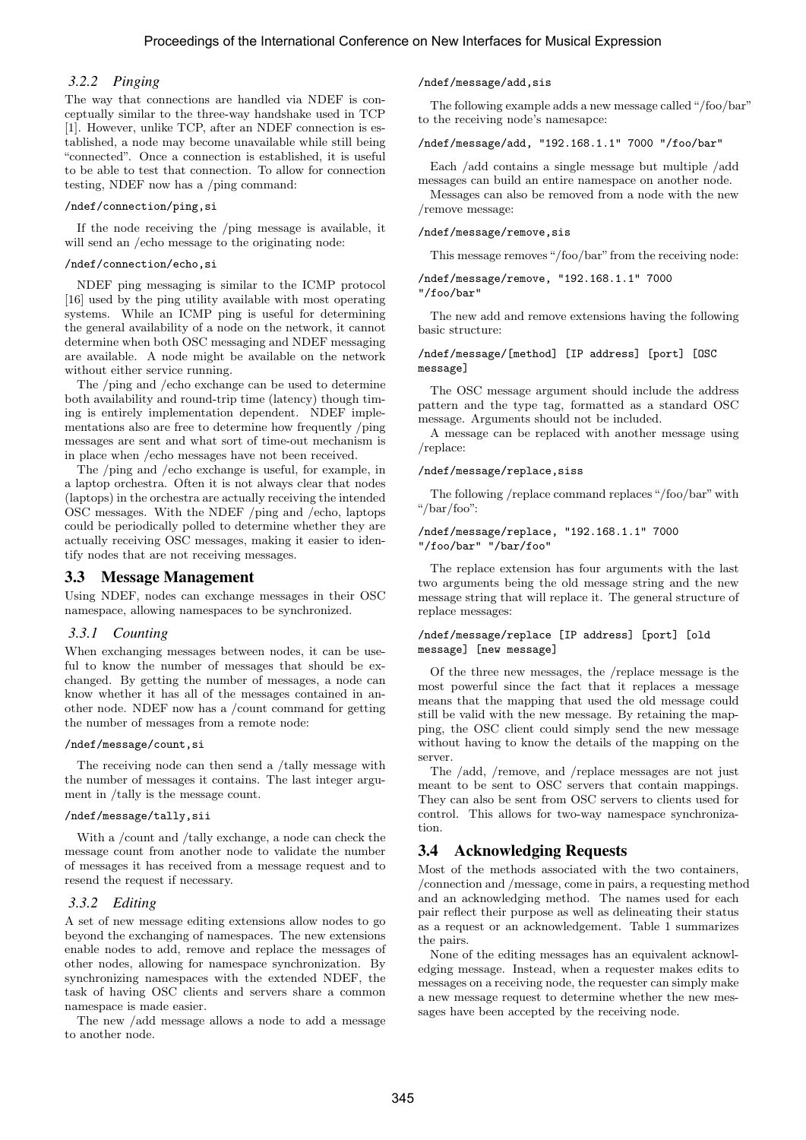### *3.2.2 Pinging*

The way that connections are handled via NDEF is conceptually similar to the three-way handshake used in TCP [1]. However, unlike TCP, after an NDEF connection is established, a node may become unavailable while still being "connected". Once a connection is established, it is useful to be able to test that connection. To allow for connection testing, NDEF now has a /ping command:

#### /ndef/connection/ping,si

If the node receiving the /ping message is available, it will send an /echo message to the originating node:

#### /ndef/connection/echo,si

NDEF ping messaging is similar to the ICMP protocol [16] used by the ping utility available with most operating systems. While an ICMP ping is useful for determining the general availability of a node on the network, it cannot determine when both OSC messaging and NDEF messaging are available. A node might be available on the network without either service running.

The /ping and /echo exchange can be used to determine both availability and round-trip time (latency) though timing is entirely implementation dependent. NDEF implementations also are free to determine how frequently /ping messages are sent and what sort of time-out mechanism is in place when /echo messages have not been received.

The /ping and /echo exchange is useful, for example, in a laptop orchestra. Often it is not always clear that nodes (laptops) in the orchestra are actually receiving the intended OSC messages. With the NDEF /ping and /echo, laptops could be periodically polled to determine whether they are actually receiving OSC messages, making it easier to identify nodes that are not receiving messages.

### 3.3 Message Management

Using NDEF, nodes can exchange messages in their OSC namespace, allowing namespaces to be synchronized.

### *3.3.1 Counting*

When exchanging messages between nodes, it can be useful to know the number of messages that should be exchanged. By getting the number of messages, a node can know whether it has all of the messages contained in another node. NDEF now has a /count command for getting the number of messages from a remote node:

#### /ndef/message/count,si

The receiving node can then send a /tally message with the number of messages it contains. The last integer argument in /tally is the message count.

#### /ndef/message/tally,sii

With a /count and /tally exchange, a node can check the message count from another node to validate the number of messages it has received from a message request and to resend the request if necessary.

### *3.3.2 Editing*

A set of new message editing extensions allow nodes to go beyond the exchanging of namespaces. The new extensions enable nodes to add, remove and replace the messages of other nodes, allowing for namespace synchronization. By synchronizing namespaces with the extended NDEF, the task of having OSC clients and servers share a common namespace is made easier.

The new /add message allows a node to add a message to another node.

#### /ndef/message/add,sis

The following example adds a new message called"/foo/bar" to the receiving node's namesapce:

#### /ndef/message/add, "192.168.1.1" 7000 "/foo/bar"

Each /add contains a single message but multiple /add messages can build an entire namespace on another node.

Messages can also be removed from a node with the new /remove message:

#### /ndef/message/remove,sis

This message removes "/foo/bar" from the receiving node:

/ndef/message/remove, "192.168.1.1" 7000

"/foo/bar"

The new add and remove extensions having the following basic structure:

#### /ndef/message/[method] [IP address] [port] [OSC message]

The OSC message argument should include the address pattern and the type tag, formatted as a standard OSC message. Arguments should not be included.

A message can be replaced with another message using /replace:

#### /ndef/message/replace,siss

The following /replace command replaces "/foo/bar" with "/bar/foo":

#### /ndef/message/replace, "192.168.1.1" 7000 "/foo/bar" "/bar/foo"

The replace extension has four arguments with the last two arguments being the old message string and the new message string that will replace it. The general structure of replace messages:

#### /ndef/message/replace [IP address] [port] [old message] [new message]

Of the three new messages, the /replace message is the most powerful since the fact that it replaces a message means that the mapping that used the old message could still be valid with the new message. By retaining the mapping, the OSC client could simply send the new message without having to know the details of the mapping on the server.

The /add, /remove, and /replace messages are not just meant to be sent to OSC servers that contain mappings. They can also be sent from OSC servers to clients used for control. This allows for two-way namespace synchronization.

### 3.4 Acknowledging Requests

Most of the methods associated with the two containers, /connection and /message, come in pairs, a requesting method and an acknowledging method. The names used for each pair reflect their purpose as well as delineating their status as a request or an acknowledgement. Table 1 summarizes the pairs.

None of the editing messages has an equivalent acknowledging message. Instead, when a requester makes edits to messages on a receiving node, the requester can simply make a new message request to determine whether the new messages have been accepted by the receiving node.